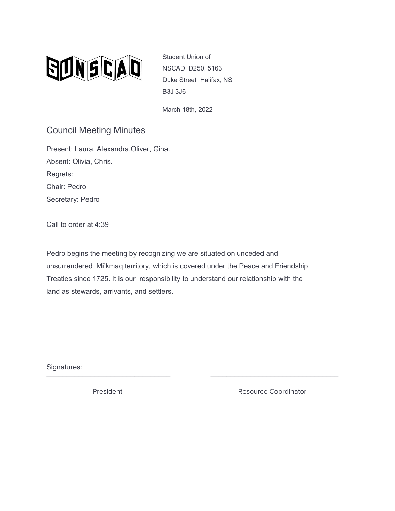

Student Union of NSCAD D250, 5163 Duke Street Halifax, NS B3J 3J6

March 18th, 2022

## Council Meeting Minutes

Present: Laura, Alexandra,Oliver, Gina. Absent: Olivia, Chris. Regrets: Chair: Pedro Secretary: Pedro

Call to order at 4:39

Pedro begins the meeting by recognizing we are situated on unceded and unsurrendered Mi'kmaq territory, which is covered under the Peace and Friendship Treaties since 1725. It is our responsibility to understand our relationship with the land as stewards, arrivants, and settlers.

Signatures: \_\_\_\_\_\_\_\_\_\_\_\_\_\_\_\_\_\_\_\_\_\_\_\_\_\_\_\_\_\_\_ \_\_\_\_\_\_\_\_\_\_\_\_\_\_\_\_\_\_\_\_\_\_\_\_\_\_\_\_\_\_\_\_

President **Resource Coordinator** Resource Coordinator